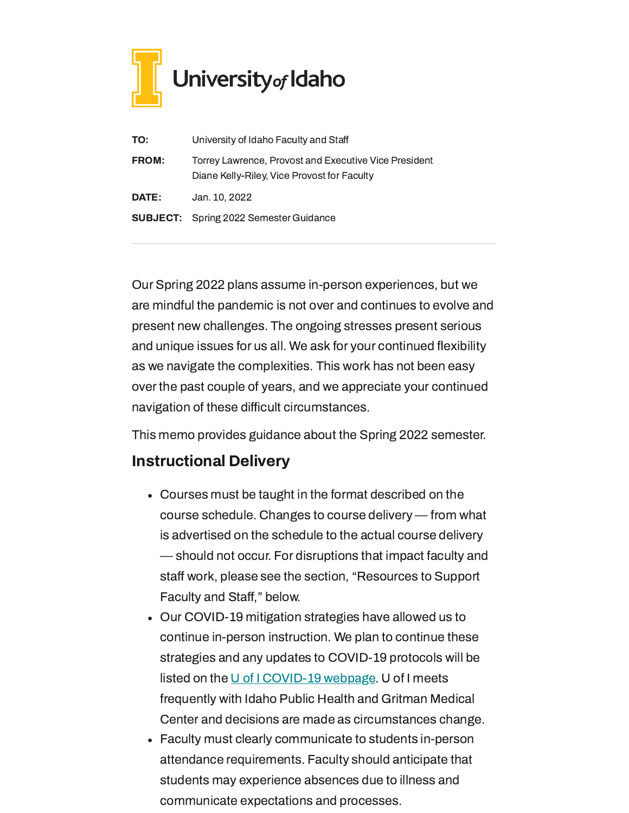

| TO:          | University of Idaho Faculty and Staff                                                                |
|--------------|------------------------------------------------------------------------------------------------------|
| <b>FROM:</b> | Torrey Lawrence, Provost and Executive Vice President<br>Diane Kelly-Riley, Vice Provost for Faculty |
| DATE:        | Jan. 10, 2022                                                                                        |
|              | <b>SUBJECT:</b> Spring 2022 Semester Guidance                                                        |

Our Spring 2022 plans assume in-person experiences, but we are mindful the pandemic is not over and continues to evolve and present new challenges. The ongoing stresses present serious and unique issues for us all. We ask for your continued flexibility as we navigate the complexities. This work has not been easy over the past couple of years, and we appreciate your continued navigation of these difficult circumstances.

This memo provides guidance about the Spring 2022 semester.

# Instructional Delivery

- Courses must be taught in the format described on the course schedule. Changes to course delivery — from what is advertised on the schedule to the actual course delivery — should not occur. For disruptions that impact faculty and staff work, please see the section, "Resources to Support Faculty and Staff," below.
- Our COVID-19 mitigation strategies have allowed us to continue in-person instruction. We plan to continue these strategies and any updates to COVID-19 protocols will be listed on the U of [I COVID-19](https://www.uidaho.edu/vandal-health-clinic/coronavirus) webpage. U of I meets frequently with Idaho Public Health and Gritman Medical Center and decisions are made as circumstances change.
- Faculty must clearly communicate to students in-person attendance requirements. Faculty should anticipate that students may experience absences due to illness and communicate expectations and processes.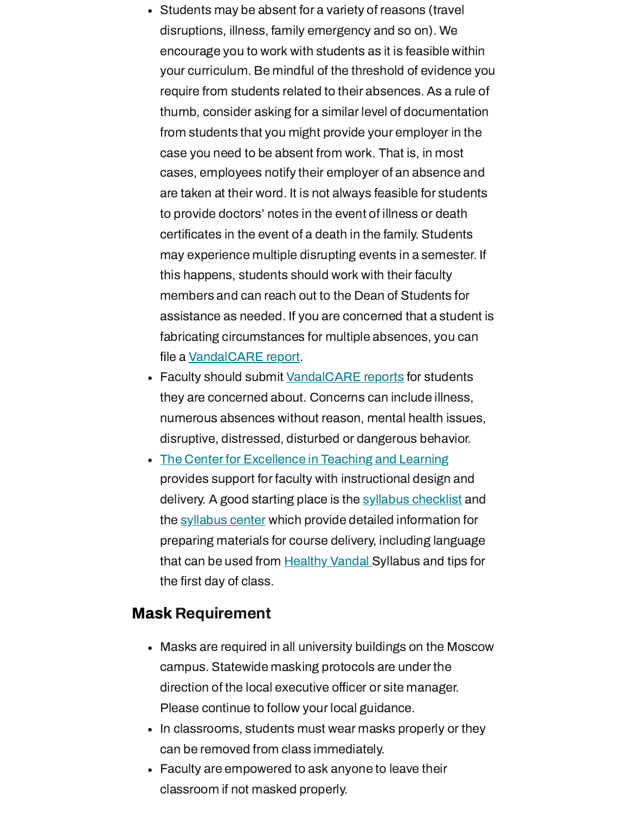- Students may be absent for a variety of reasons (travel disruptions, illness, family emergency and so on). We encourage you to work with students as it is feasible within your curriculum. Be mindful of the threshold of evidence you require from students related to their absences. As a rule of thumb, consider asking for a similar level of documentation from students that you might provide your employer in the case you need to be absent from work. That is, in most cases, employees notify their employer of an absence and are taken at their word. It is not always feasible for students to provide doctors' notes in the event of illness or death certificates in the event of a death in the family. Students may experience multiple disrupting events in a semester. If this happens, students should work with their faculty members and can reach out to the Dean of Students for assistance as needed. If you are concerned that a student is fabricating circumstances for multiple absences, you can file a [VandalCARE](https://www.uidaho.edu/student-affairs/dean-of-students/vandalcare) report.
- Faculty should submit [VandalCARE](https://www.uidaho.edu/student-affairs/dean-of-students/vandalcare) reports for students they are concerned about. Concerns can include illness, numerous absences without reason, mental health issues, disruptive, distressed, disturbed or dangerous behavior.
- The Center for [Excellence](https://www.uidaho.edu/provost/cetl) in Teaching and Learning provides support for faculty with instructional design and delivery. A good starting place is the syllabus [checklist](https://www.webpages.uidaho.edu/cetl/syllabus-checklist.asp) and the [syllabus](https://www.webpages.uidaho.edu/cetl/syllabus-center.asp) center which provide detailed information for preparing materials for course delivery, including language that can be used from [Healthy](https://www.webpages.uidaho.edu/cetl/docs/2021-Fall-Healthy-Vandals-Syllabus-Policies.pdf) Vandal Syllabus and tips for the first day of class.

#### Mask Requirement

- Masks are required in all university buildings on the Moscow campus. Statewide masking protocols are under the direction of the local executive officer or site manager. Please continue to follow your local guidance.
- In classrooms, students must wear masks properly or they can be removed from class immediately.
- Faculty are empowered to ask anyone to leave their classroom if not masked properly.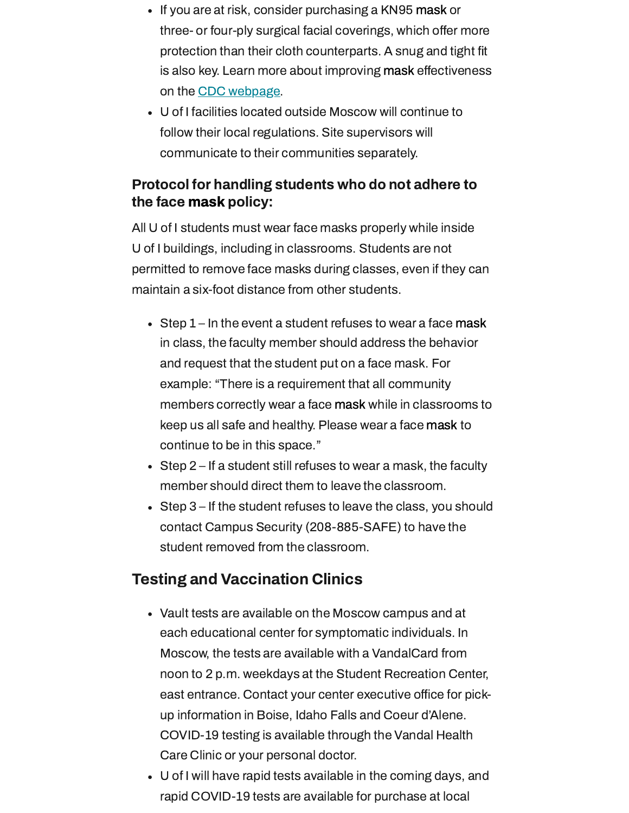- If you are at risk, consider purchasing a KN95 mask or three- or four-ply surgical facial coverings, which offer more protection than their cloth counterparts. A snug and tight fit is also key. Learn more about improving mask effectiveness on the CDC [webpage.](https://www.cdc.gov/coronavirus/2019-ncov/prevent-getting-sick/about-face-coverings.html)
- U of I facilities located outside Moscow will continue to follow their local regulations. Site supervisors will communicate to their communities separately.

### Protocol for handling students who do not adhere to the face mask policy:

All U of I students must wear face masks properly while inside U of I buildings, including in classrooms. Students are not permitted to remove face masks during classes, even if they can maintain a six-foot distance from other students.

- $\bullet$  Step 1 In the event a student refuses to wear a face mask in class, the faculty member should address the behavior and request that the student put on a face mask. For example: "There is a requirement that all community members correctly wear a face mask while in classrooms to keep us all safe and healthy. Please wear a face mask to continue to be in this space."
- Step 2 If a student still refuses to wear a mask, the faculty member should direct them to leave the classroom.
- Step 3 If the student refuses to leave the class, you should contact Campus Security (208-885-SAFE) to have the student removed from the classroom.

# Testing and Vaccination Clinics

- Vault tests are available on the Moscow campus and at each educational center for symptomatic individuals. In Moscow, the tests are available with a VandalCard from noon to 2 p.m. weekdays at the Student Recreation Center, east entrance. Contact your center executive office for pickup information in Boise, Idaho Falls and Coeur d'Alene. COVID-19 testing is available through the Vandal Health Care Clinic or your personal doctor.
- U of I will have rapid tests available in the coming days, and rapid COVID-19 tests are available for purchase at local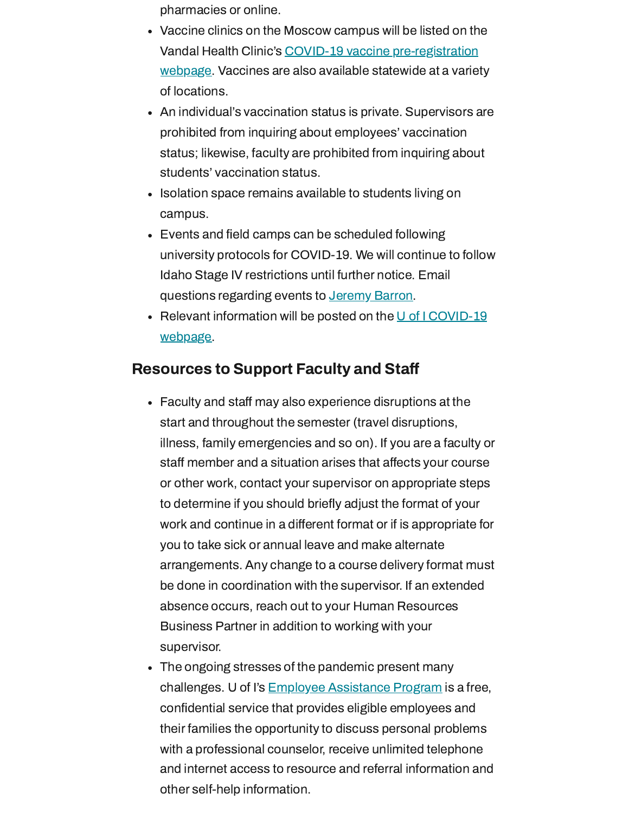- pharmacies or online.
- Vaccine clinics on the Moscow campus will be listed on the Vandal Health Clinic's COVID-19 vaccine [pre-registration](https://www.uidaho.edu/vandal-health-clinic/coronavirus/vaccine/pre-register) webpage. Vaccines are also available statewide at a variety of locations.
- An individual's vaccination status is private. Supervisors are prohibited from inquiring about employees' vaccination status; likewise, faculty are prohibited from inquiring about students' vaccination status.
- Isolation space remains available to students living on campus.
- Events and field camps can be scheduled following university protocols for COVID-19. We will continue to follow Idaho Stage IV restrictions until further notice. Email questions regarding events to [Jeremy](mailto:jbarron@uidaho.edu) Barron.
- Relevant information will be posted on the U of [I COVID-19](https://www.uidaho.edu/vandal-health-clinic/coronavirus) webpage.

# Resources to Support Faculty and Sta

- Faculty and staff may also experience disruptions at the start and throughout the semester (travel disruptions, illness, family emergencies and so on). If you are a faculty or staff member and a situation arises that affects your course or other work, contact your supervisor on appropriate steps to determine if you should briefly adjust the format of your work and continue in a different format or if is appropriate for you to take sick or annual leave and make alternate arrangements. Any change to a course delivery format must be done in coordination with the supervisor. If an extended absence occurs, reach out to your Human Resources Business Partner in addition to working with your supervisor.
- The ongoing stresses of the pandemic present many challenges. U of I's **Employee [Assistance](https://www.uidaho.edu/human-resources/benefits/core-benefits/eap) Program** is a free, confidential service that provides eligible employees and their families the opportunity to discuss personal problems with a professional counselor, receive unlimited telephone and internet access to resource and referral information and other self-help information.